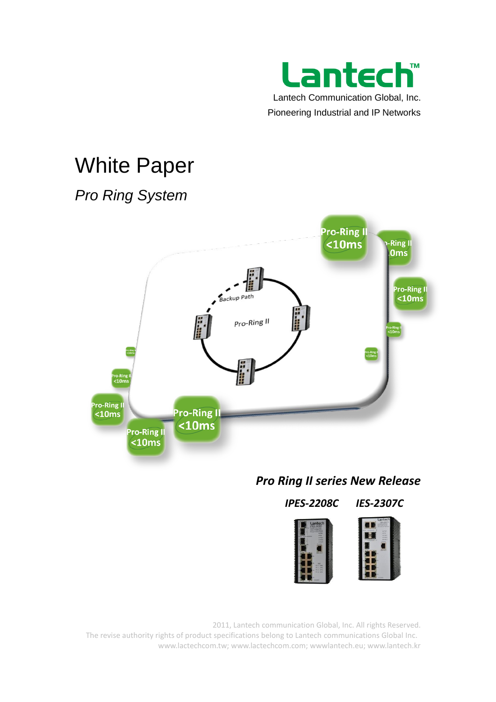

# White Paper

# *Pro Ring System*



# *Pro Ring II series New Release*

*IPES-2208C IES-2307C*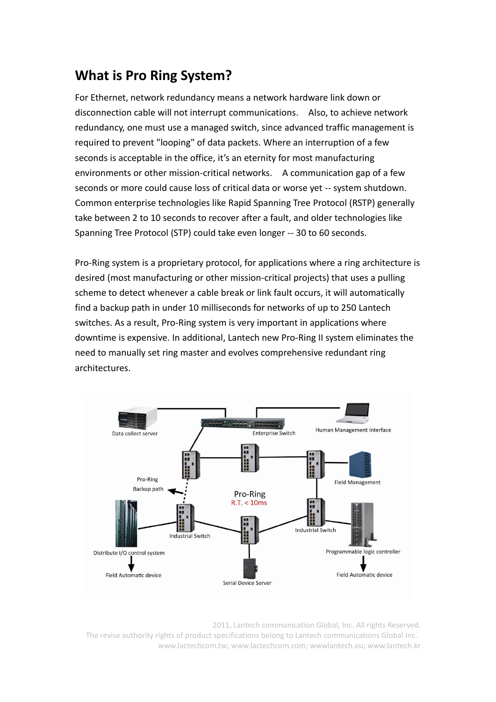# **What is Pro Ring System?**

For Ethernet, network redundancy means a network hardware link down or disconnection cable will not interrupt communications. Also, to achieve network redundancy, one must use a managed switch, since advanced traffic management is required to prevent "looping" of data packets. Where an interruption of a few seconds is acceptable in the office, it's an eternity for most manufacturing environments or other mission-critical networks. A communication gap of a few seconds or more could cause loss of critical data or worse yet -- system shutdown. Common enterprise technologies like Rapid Spanning Tree Protocol (RSTP) generally take between 2 to 10 seconds to recover after a fault, and older technologies like Spanning Tree Protocol (STP) could take even longer -- 30 to 60 seconds.

Pro-Ring system is a proprietary protocol, for applications where a ring architecture is desired (most manufacturing or other mission-critical projects) that uses a pulling scheme to detect whenever a cable break or link fault occurs, it will automatically find a backup path in under 10 milliseconds for networks of up to 250 Lantech switches. As a result, Pro-Ring system is very important in applications where downtime is expensive. In additional, Lantech new Pro-Ring II system eliminates the need to manually set ring master and evolves comprehensive redundant ring architectures.

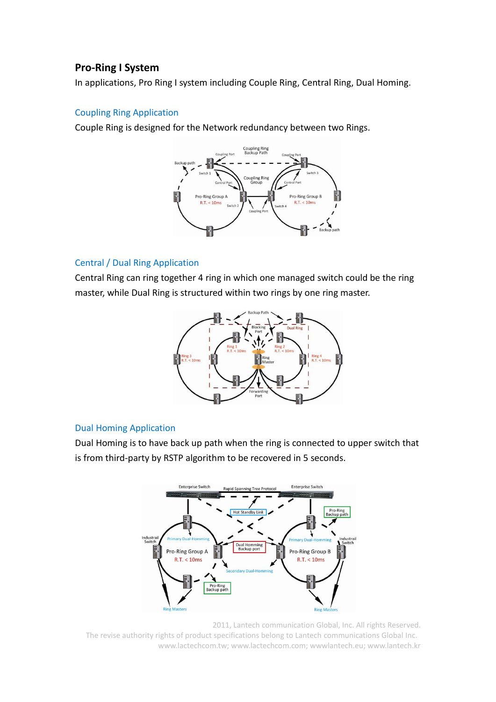# **Pro-Ring I System**

In applications, Pro Ring I system including Couple Ring, Central Ring, Dual Homing.

## Coupling Ring Application

Couple Ring is designed for the Network redundancy between two Rings.



### Central / Dual Ring Application

Central Ring can ring together 4 ring in which one managed switch could be the ring master, while Dual Ring is structured within two rings by one ring master.



# Dual Homing Application

Dual Homing is to have back up path when the ring is connected to upper switch that is from third-party by RSTP algorithm to be recovered in 5 seconds.

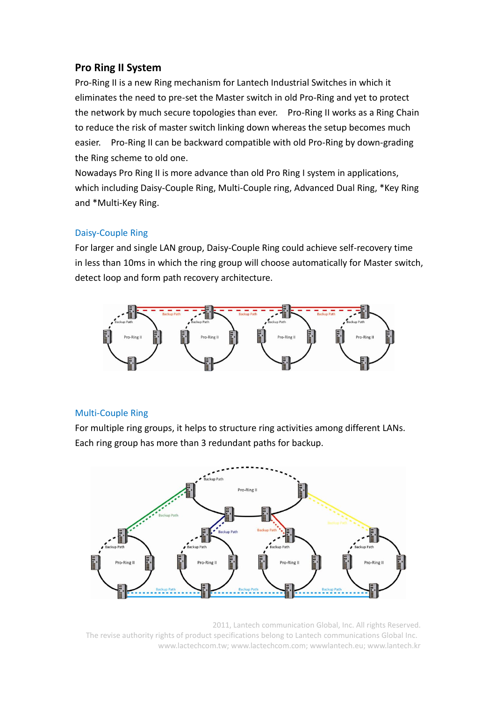# **Pro Ring II System**

Pro-Ring II is a new Ring mechanism for Lantech Industrial Switches in which it eliminates the need to pre-set the Master switch in old Pro-Ring and yet to protect the network by much secure topologies than ever. Pro-Ring II works as a Ring Chain to reduce the risk of master switch linking down whereas the setup becomes much easier. Pro-Ring II can be backward compatible with old Pro-Ring by down-grading the Ring scheme to old one.

Nowadays Pro Ring II is more advance than old Pro Ring I system in applications, which including Daisy-Couple Ring, Multi-Couple ring, Advanced Dual Ring, \*Key Ring and \*Multi-Key Ring.

# Daisy-Couple Ring

For larger and single LAN group, Daisy-Couple Ring could achieve self-recovery time in less than 10ms in which the ring group will choose automatically for Master switch, detect loop and form path recovery architecture.



### Multi-Couple Ring

For multiple ring groups, it helps to structure ring activities among different LANs. Each ring group has more than 3 redundant paths for backup.

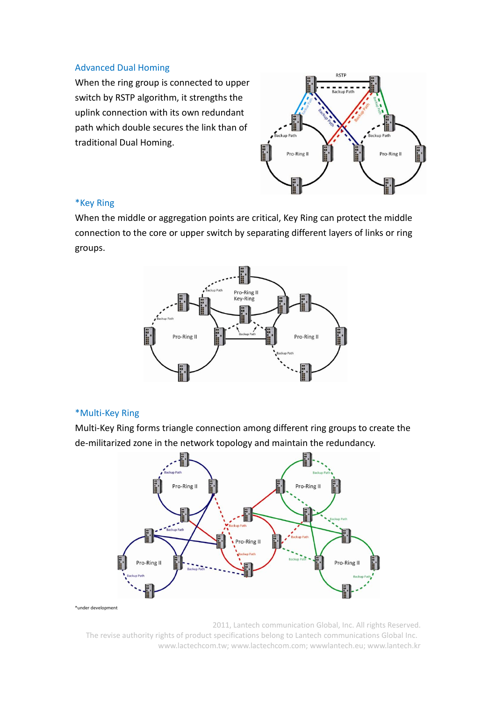#### Advanced Dual Homing

When the ring group is connected to upper switch by RSTP algorithm, it strengths the uplink connection with its own redundant path which double secures the link than of traditional Dual Homing.



#### \*Key Ring

When the middle or aggregation points are critical, Key Ring can protect the middle connection to the core or upper switch by separating different layers of links or ring groups.



#### \*Multi-Key Ring

Multi-Key Ring forms triangle connection among different ring groups to create the de-militarized zone in the network topology and maintain the redundancy.



\*under development